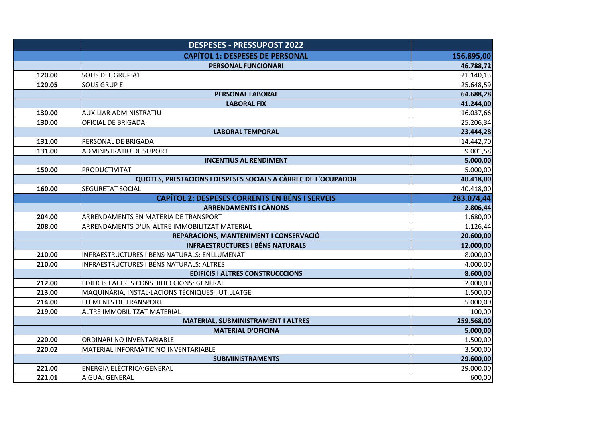|        | <b>DESPESES - PRESSUPOST 2022</b>                             |            |
|--------|---------------------------------------------------------------|------------|
|        | <b>CAPÍTOL 1: DESPESES DE PERSONAL</b>                        | 156.895,00 |
|        | PERSONAL FUNCIONARI                                           | 46.788,72  |
| 120.00 | SOUS DEL GRUP A1                                              | 21.140,13  |
| 120.05 | <b>SOUS GRUP E</b>                                            | 25.648,59  |
|        | PERSONAL LABORAL                                              | 64.688,28  |
|        | <b>LABORAL FIX</b>                                            | 41.244,00  |
| 130.00 | <b>AUXILIAR ADMINISTRATIU</b>                                 | 16.037,66  |
| 130.00 | OFICIAL DE BRIGADA                                            | 25.206,34  |
|        | <b>LABORAL TEMPORAL</b>                                       | 23.444,28  |
| 131.00 | PERSONAL DE BRIGADA                                           | 14.442,70  |
| 131.00 | <b>ADMINISTRATIU DE SUPORT</b>                                | 9.001,58   |
|        | <b>INCENTIUS AL RENDIMENT</b>                                 | 5.000,00   |
| 150.00 | <b>PRODUCTIVITAT</b>                                          | 5.000,00   |
|        | QUOTES, PRESTACIONS I DESPESES SOCIALS A CÀRREC DE L'OCUPADOR | 40.418,00  |
| 160.00 | SEGURETAT SOCIAL                                              | 40.418,00  |
|        | <b>CAPÍTOL 2: DESPESES CORRENTS EN BÉNS I SERVEIS</b>         | 283.074,44 |
|        | <b>ARRENDAMENTS I CÀNONS</b>                                  | 2.806,44   |
| 204.00 | ARRENDAMENTS EN MATÈRIA DE TRANSPORT                          | 1.680,00   |
| 208.00 | ARRENDAMENTS D'UN ALTRE IMMOBILITZAT MATERIAL                 | 1.126,44   |
|        | REPARACIONS, MANTENIMENT I CONSERVACIÓ                        | 20.600,00  |
|        | <b>INFRAESTRUCTURES I BÉNS NATURALS</b>                       | 12.000,00  |
| 210.00 | INFRAESTRUCTURES I BÉNS NATURALS: ENLLUMENAT                  | 8.000,00   |
| 210.00 | INFRAESTRUCTURES I BÉNS NATURALS: ALTRES                      | 4.000,00   |
|        | <b>EDIFICIS I ALTRES CONSTRUCCCIONS</b>                       | 8.600,00   |
| 212.00 | EDIFICIS I ALTRES CONSTRUCCCIONS: GENERAL                     | 2.000,00   |
| 213.00 | MAQUINÀRIA, INSTAL·LACIONS TÈCNIQUES I UTILLATGE              | 1.500,00   |
| 214.00 | <b>ELEMENTS DE TRANSPORT</b>                                  | 5.000,00   |
| 219.00 | ALTRE IMMOBILITZAT MATERIAL                                   | 100,00     |
|        | MATERIAL, SUBMINISTRAMENT I ALTRES                            | 259.568,00 |
|        | <b>MATERIAL D'OFICINA</b>                                     | 5.000,00   |
| 220.00 | ORDINARI NO INVENTARIABLE                                     | 1.500,00   |
| 220.02 | MATERIAL INFORMATIC NO INVENTARIABLE                          | 3.500,00   |
|        | <b>SUBMINISTRAMENTS</b>                                       | 29.600,00  |
| 221.00 | <b>ENERGIA ELÈCTRICA:GENERAL</b>                              | 29.000,00  |
| 221.01 | AIGUA: GENERAL                                                | 600,00     |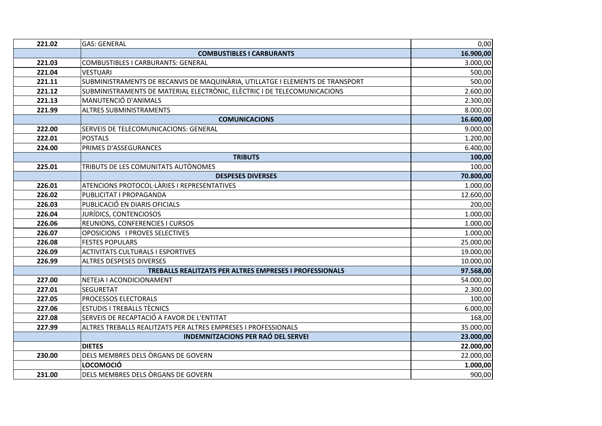| 221.02 | <b>GAS: GENERAL</b>                                                           | 0,00      |
|--------|-------------------------------------------------------------------------------|-----------|
|        | <b>COMBUSTIBLES I CARBURANTS</b>                                              | 16.900,00 |
| 221.03 | <b>COMBUSTIBLES I CARBURANTS: GENERAL</b>                                     | 3.000,00  |
| 221.04 | <b>VESTUARI</b>                                                               | 500,00    |
| 221.11 | SUBMINISTRAMENTS DE RECANVIS DE MAQUINÀRIA, UTILLATGE I ELEMENTS DE TRANSPORT | 500,00    |
| 221.12 | SUBMINISTRAMENTS DE MATERIAL ELECTRÒNIC, ELÈCTRIC I DE TELECOMUNICACIONS      | 2.600,00  |
| 221.13 | MANUTENCIÓ D'ANIMALS                                                          | 2.300,00  |
| 221.99 | <b>ALTRES SUBMINISTRAMENTS</b>                                                | 8.000,00  |
|        | <b>COMUNICACIONS</b>                                                          | 16.600,00 |
| 222.00 | SERVEIS DE TELECOMUNICACIONS: GENERAL                                         | 9.000,00  |
| 222.01 | <b>POSTALS</b>                                                                | 1.200,00  |
| 224.00 | PRIMES D'ASSEGURANCES                                                         | 6.400,00  |
|        | <b>TRIBUTS</b>                                                                | 100,00    |
| 225.01 | TRIBUTS DE LES COMUNITATS AUTÒNOMES                                           | 100,00    |
|        | <b>DESPESES DIVERSES</b>                                                      | 70.800,00 |
| 226.01 | ATENCIONS PROTOCOL·LÀRIES I REPRESENTATIVES                                   | 1.000,00  |
| 226.02 | PUBLICITAT I PROPAGANDA                                                       | 12.600,00 |
| 226.03 | PUBLICACIÓ EN DIARIS OFICIALS                                                 | 200,00    |
| 226.04 | JURÍDICS, CONTENCIOSOS                                                        | 1.000,00  |
| 226.06 | REUNIONS, CONFERENCIES I CURSOS                                               | 1.000,00  |
| 226.07 | OPOSICIONS I PROVES SELECTIVES                                                | 1.000,00  |
| 226.08 | <b>FESTES POPULARS</b>                                                        | 25.000,00 |
| 226.09 | <b>ACTIVITATS CULTURALS I ESPORTIVES</b>                                      | 19.000,00 |
| 226.99 | <b>ALTRES DESPESES DIVERSES</b>                                               | 10.000,00 |
|        | TREBALLS REALITZATS PER ALTRES EMPRESES I PROFESSIONALS                       | 97.568,00 |
| 227.00 | NETEJA I ACONDICIONAMENT                                                      | 54.000,00 |
| 227.01 | <b>SEGURETAT</b>                                                              | 2.300,00  |
| 227.05 | PROCESSOS ELECTORALS                                                          | 100,00    |
| 227.06 | <b>ESTUDIS I TREBALLS TÈCNICS</b>                                             | 6.000,00  |
| 227.08 | SERVEIS DE RECAPTACIÓ A FAVOR DE L'ENTITAT                                    | 168,00    |
| 227.99 | ALTRES TREBALLS REALITZATS PER ALTRES EMPRESES I PROFESSIONALS                | 35.000,00 |
|        | <b>INDEMNITZACIONS PER RAÓ DEL SERVEI</b>                                     | 23.000,00 |
|        | <b>DIETES</b>                                                                 | 22.000,00 |
| 230.00 | DELS MEMBRES DELS ÒRGANS DE GOVERN                                            | 22.000,00 |
|        | <b>LOCOMOCIÓ</b>                                                              | 1.000,00  |
| 231.00 | DELS MEMBRES DELS ORGANS DE GOVERN                                            | 900,00    |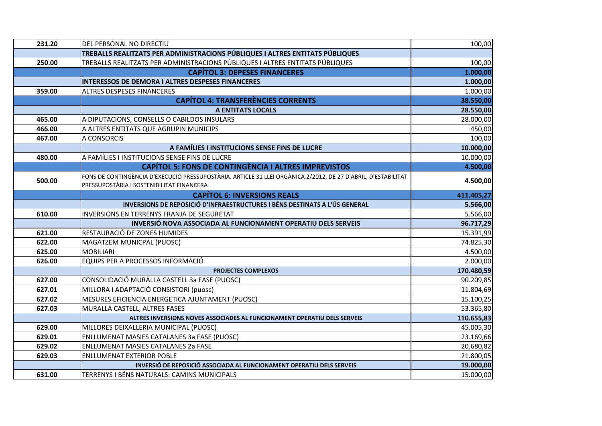| 231.20 | DEL PERSONAL NO DIRECTIU                                                                                      | 100,00     |
|--------|---------------------------------------------------------------------------------------------------------------|------------|
|        | TREBALLS REALITZATS PER ADMINISTRACIONS PÚBLIQUES I ALTRES ENTITATS PÚBLIQUES                                 |            |
| 250.00 | TREBALLS REALITZATS PER ADMINISTRACIONS PÚBLIQUES I ALTRES ENTITATS PÚBLIQUES                                 | 100,00     |
|        | <b>CAPÍTOL 3: DEPESES FINANCERES</b>                                                                          | 1.000,00   |
|        | INTERESSOS DE DEMORA I ALTRES DESPESES FINANCERES                                                             | 1.000,00   |
| 359.00 | ALTRES DESPESES FINANCERES                                                                                    | 1.000,00   |
|        | <b>CAPÍTOL 4: TRANSFERÈNCIES CORRENTS</b>                                                                     | 38.550,00  |
|        | <b>A ENTITATS LOCALS</b>                                                                                      | 28.550,00  |
| 465.00 | A DIPUTACIONS, CONSELLS O CABILDOS INSULARS                                                                   | 28.000,00  |
| 466.00 | A ALTRES ENTITATS QUE AGRUPIN MUNICIPS                                                                        | 450,00     |
| 467.00 | A CONSORCIS                                                                                                   | 100,00     |
|        | A FAMÍLIES I INSTITUCIONS SENSE FINS DE LUCRE                                                                 | 10.000,00  |
| 480.00 | A FAMÍLIES I INSTITUCIONS SENSE FINS DE LUCRE                                                                 | 10.000,00  |
|        | <b>CAPÍTOL 5: FONS DE CONTINGÈNCIA I ALTRES IMPREVISTOS</b>                                                   | 4.500,00   |
| 500.00 | FONS DE CONTINGÈNCIA D'EXECUCIÓ PRESSUPOSTÀRIA. ARTICLE 31 LLEI ORGÀNICA 2/2012, DE 27 D'ABRIL, D'ESTABILITAT | 4.500,00   |
|        | PRESSUPOSTÀRIA I SOSTENIBILITAT FINANCERA                                                                     |            |
|        | <b>CAPÍTOL 6: INVERSIONS REALS</b>                                                                            | 411.405,27 |
|        | INVERSIONS DE REPOSICIÓ D'INFRAESTRUCTURES I BÉNS DESTINATS A L'ÚS GENERAL                                    | 5.566,00   |
| 610.00 | INVERSIONS EN TERRENYS FRANJA DE SEGURETAT                                                                    | 5.566,00   |
|        | INVERSIÓ NOVA ASSOCIADA AL FUNCIONAMENT OPERATIU DELS SERVEIS                                                 | 96.717,29  |
| 621.00 | RESTAURACIÓ DE ZONES HUMIDES                                                                                  | 15.391,99  |
| 622.00 | MAGATZEM MUNICPAL (PUOSC)                                                                                     | 74.825,30  |
| 625.00 | <b>MOBILIARI</b>                                                                                              | 4.500,00   |
| 626.00 | EQUIPS PER A PROCESSOS INFORMACIÓ                                                                             | 2.000,00   |
|        | PROJECTES COMPLEXOS                                                                                           | 170.480,59 |
| 627.00 | CONSOLIDACIÓ MURALLA CASTELL 3a FASE (PUOSC)                                                                  | 90.209,85  |
| 627.01 | MILLORA I ADAPTACIÓ CONSISTORI (puosc)                                                                        | 11.804,69  |
| 627.02 | MESURES EFICIENCIA ENERGETICA AJUNTAMENT (PUOSC)                                                              | 15.100,25  |
| 627.03 | MURALLA CASTELL, ALTRES FASES                                                                                 | 53.365,80  |
|        | ALTRES INVERSIONS NOVES ASSOCIADES AL FUNCIONAMENT OPERATIU DELS SERVEIS                                      | 110.655,83 |
| 629.00 | MILLORES DEIXALLERIA MUNICIPAL (PUOSC)                                                                        | 45.005,30  |
| 629.01 | <b>ENLLUMENAT MASIES CATALANES 3a FASE (PUOSC)</b>                                                            | 23.169,66  |
| 629.02 | ENLLUMENAT MASIES CATALANES 2a FASE                                                                           | 20.680,82  |
| 629.03 | <b>ENLLUMENAT EXTERIOR POBLE</b>                                                                              | 21.800,05  |
|        | INVERSIÓ DE REPOSICIÓ ASSOCIADA AL FUNCIONAMENT OPERATIU DELS SERVEIS                                         | 19.000,00  |
| 631.00 | TERRENYS I BÉNS NATURALS: CAMINS MUNICIPALS                                                                   | 15.000,00  |